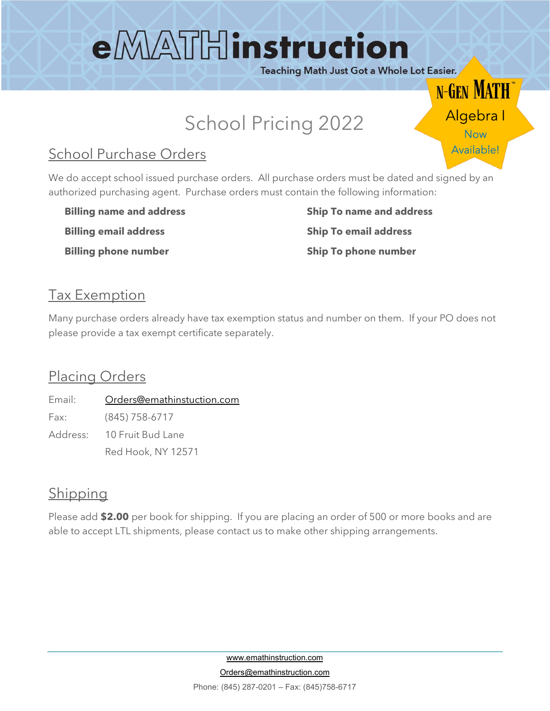# eMATHinstruction

Teaching Math Just Got a Whole Lot Easier.

Algebra I

**N-GEN MATH** 

Available!

### School Pricing 2022

### School Purchase Orders

We do accept school issued purchase orders. All purchase orders must be dated and signed by an authorized purchasing agent. Purchase orders must contain the following information:

Billing email address Ship To email address

Billing name and address **Ship To name and address** Billing phone number Ship To phone number

### Tax Exemption

Many purchase orders already have tax exemption status and number on them. If your PO does not please provide a tax exempt certificate separately.

#### Placing Orders

Email: Orders@emathinstuction.com Fax: (845) 758-6717 Address: 10 Fruit Bud Lane Red Hook, NY 12571

### **Shipping**

Please add \$2.00 per book for shipping. If you are placing an order of 500 or more books and are able to accept LTL shipments, please contact us to make other shipping arrangements.

> www.emathinstruction.com Orders@emathinstruction.com Phone: (845) 287-0201 – Fax: (845)758-6717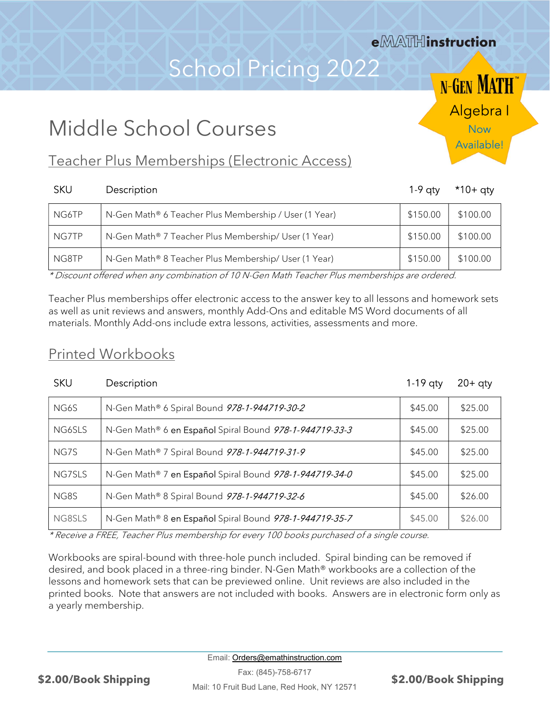### e MATH instruction

### School Pricing 2022

**N-GEN MATH** Algebra I Now

Available!

### Middle School Courses

### Teacher Plus Memberships (Electronic Access)

| <b>SKU</b> | Description                                           | $1-9$ aty | *10+ qty |
|------------|-------------------------------------------------------|-----------|----------|
| NG6TP      | N-Gen Math® 6 Teacher Plus Membership / User (1 Year) | \$150.00  | \$100.00 |
| NG7TP      | N-Gen Math® 7 Teacher Plus Membership/ User (1 Year)  | \$150.00  | \$100.00 |
| NG8TP      | N-Gen Math® 8 Teacher Plus Membership/ User (1 Year)  | \$150.00  | \$100.00 |

\* Discount offered when any combination of 10 N-Gen Math Teacher Plus memberships are ordered.

Teacher Plus memberships offer electronic access to the answer key to all lessons and homework sets as well as unit reviews and answers, monthly Add-Ons and editable MS Word documents of all materials. Monthly Add-ons include extra lessons, activities, assessments and more.

### Printed Workbooks

| <b>SKU</b> | Description                                             | $1-19$ aty | $20+$ qty |
|------------|---------------------------------------------------------|------------|-----------|
| NG6S       | N-Gen Math® 6 Spiral Bound 978-1-944719-30-2            | \$45.00    | \$25.00   |
| NG6SLS     | N-Gen Math® 6 en Español Spiral Bound 978-1-944719-33-3 | \$45.00    | \$25.00   |
| NG7S       | N-Gen Math® 7 Spiral Bound 978-1-944719-31-9            | \$45.00    | \$25.00   |
| NG7SLS     | N-Gen Math® 7 en Español Spiral Bound 978-1-944719-34-0 | \$45.00    | \$25.00   |
| NG8S       | N-Gen Math® 8 Spiral Bound 978-1-944719-32-6            | \$45.00    | \$26.00   |
| NG8SLS     | N-Gen Math® 8 en Español Spiral Bound 978-1-944719-35-7 | \$45.00    | \$26.00   |

\* Receive a FREE, Teacher Plus membership for every 100 books purchased of a single course.

Workbooks are spiral-bound with three-hole punch included. Spiral binding can be removed if desired, and book placed in a three-ring binder. N-Gen Math® workbooks are a collection of the lessons and homework sets that can be previewed online. Unit reviews are also included in the printed books. Note that answers are not included with books. Answers are in electronic form only as a yearly membership.

Email: Orders@emathinstruction.com

Fax: (845)-758-6717 Mail: 10 Fruit Bud Lane, Red Hook, NY 12571 \$2.00/Book Shipping \$2.00/Book Shipping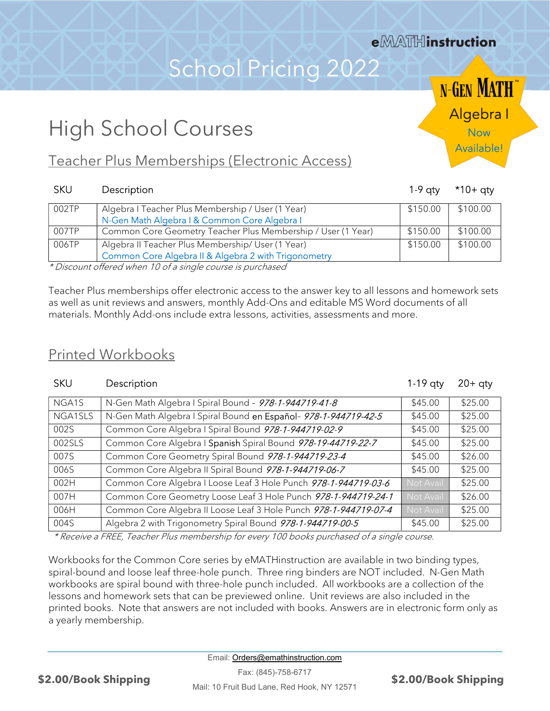### e **MATH** instruction

### School Pricing 2022

Algebra I

**N-GEN MATH** 

Available!

### High School Courses

### Teacher Plus Memberships (Electronic Access)

#### SKU Description 1-9 qty \*10+ qty

| 002TP                | Algebra I Teacher Plus Membership / User (1 Year)            | \$150.00 | \$100.00 |
|----------------------|--------------------------------------------------------------|----------|----------|
|                      | N-Gen Math Algebra   & Common Core Algebra                   |          |          |
| 007TP                | Common Core Geometry Teacher Plus Membership / User (1 Year) | \$150.00 | \$100.00 |
| 006TP                | Algebra II Teacher Plus Membership/ User (1 Year)            | \$150.00 | \$100.00 |
|                      | Common Core Algebra II & Algebra 2 with Trigonometry         |          |          |
| $\sim$ $\sim$ $\sim$ |                                                              |          |          |

\* Discount offered when 10 of a single course is purchased

Teacher Plus memberships offer electronic access to the answer key to all lessons and homework sets as well as unit reviews and answers, monthly Add-Ons and editable MS Word documents of all materials. Monthly Add-ons include extra lessons, activities, assessments and more.

#### Printed Workbooks

#### SKU Description 20+ 20+ qty

| NGA1S   | N-Gen Math Algebra I Spiral Bound - 978-1-944719-41-8            | \$45.00   | \$25.00 |
|---------|------------------------------------------------------------------|-----------|---------|
| NGA1SLS | N-Gen Math Algebra I Spiral Bound en Español- 978-1-944719-42-5  | \$45.00   | \$25.00 |
| 002S    | Common Core Algebra I Spiral Bound 978-1-944719-02-9             | \$45.00   | \$25.00 |
| 002SLS  | Common Core Algebra I Spanish Spiral Bound 978-19-44719-22-7     | \$45.00   | \$25.00 |
| 007S    | Common Core Geometry Spiral Bound 978-1-944719-23-4              | \$45.00   | \$26.00 |
| 006S    | Common Core Algebra II Spiral Bound 978-1-944719-06-7            | \$45.00   | \$25.00 |
| 002H    | Common Core Algebra I Loose Leaf 3 Hole Punch 978-1-944719-03-6  | Not Avail | \$25.00 |
| 007H    | Common Core Geometry Loose Leaf 3 Hole Punch 978-1-944719-24-1   | Not Avail | \$26.00 |
| 006H    | Common Core Algebra II Loose Leaf 3 Hole Punch 978-1-944719-07-4 | Not Avail | \$25.00 |
| 004S    | Algebra 2 with Trigonometry Spiral Bound 978-1-944719-00-5       | \$45.00   | \$25.00 |

\* Receive a FREE, Teacher Plus membership for every 100 books purchased of a single course.

Workbooks for the Common Core series by eMATHinstruction are available in two binding types, spiral-bound and loose leaf three-hole punch. Three ring binders are NOT included. N-Gen Math workbooks are spiral bound with three-hole punch included. All workbooks are a collection of the lessons and homework sets that can be previewed online. Unit reviews are also included in the printed books. Note that answers are not included with books. Answers are in electronic form only as a yearly membership.

Email: Orders@emathinstruction.com

Fax: (845)-758-6717 Mail: 10 Fruit Bud Lane, Red Hook, NY 12571 \$2.00/Book Shipping \$2.00/Book Shipping